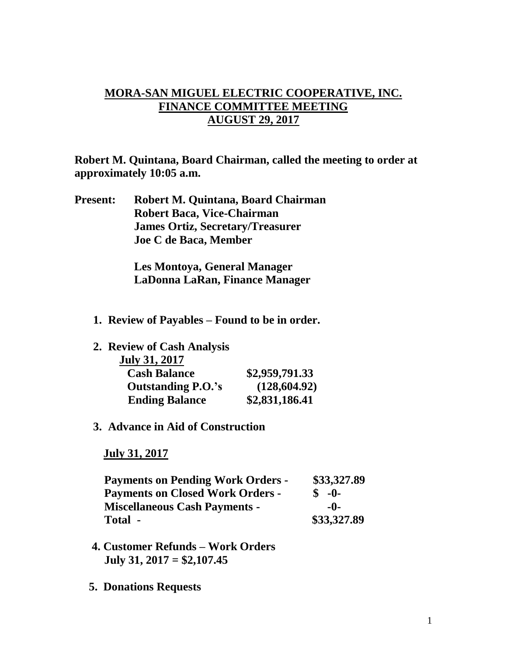## **MORA-SAN MIGUEL ELECTRIC COOPERATIVE, INC. FINANCE COMMITTEE MEETING AUGUST 29, 2017**

**Robert M. Quintana, Board Chairman, called the meeting to order at approximately 10:05 a.m.**

**Present: Robert M. Quintana, Board Chairman Robert Baca, Vice-Chairman James Ortiz, Secretary/Treasurer Joe C de Baca, Member**

> **Les Montoya, General Manager LaDonna LaRan, Finance Manager**

- **1. Review of Payables – Found to be in order.**
- **2. Review of Cash Analysis**

| <b>July 31, 2017</b>      |                |
|---------------------------|----------------|
| <b>Cash Balance</b>       | \$2,959,791.33 |
| <b>Outstanding P.O.'s</b> | (128, 604.92)  |
| <b>Ending Balance</b>     | \$2,831,186.41 |

## **3. Advance in Aid of Construction**

 **July 31, 2017**

| <b>Payments on Pending Work Orders -</b> | \$33,327.89  |
|------------------------------------------|--------------|
| <b>Payments on Closed Work Orders -</b>  | $\delta$ -0- |
| <b>Miscellaneous Cash Payments -</b>     | -0-          |
| Total -                                  | \$33,327.89  |

- **4. Customer Refunds – Work Orders July 31, 2017 = \$2,107.45**
- **5. Donations Requests**